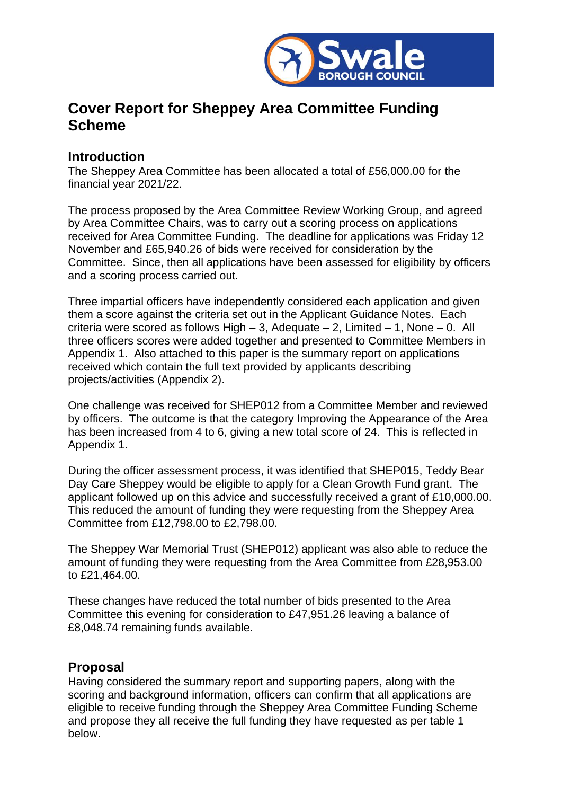

## **Cover Report for Sheppey Area Committee Funding Scheme**

## **Introduction**

The Sheppey Area Committee has been allocated a total of £56,000.00 for the financial year 2021/22.

The process proposed by the Area Committee Review Working Group, and agreed by Area Committee Chairs, was to carry out a scoring process on applications received for Area Committee Funding. The deadline for applications was Friday 12 November and £65,940.26 of bids were received for consideration by the Committee. Since, then all applications have been assessed for eligibility by officers and a scoring process carried out.

Three impartial officers have independently considered each application and given them a score against the criteria set out in the Applicant Guidance Notes. Each criteria were scored as follows High – 3, Adequate – 2, Limited – 1, None – 0. All three officers scores were added together and presented to Committee Members in Appendix 1. Also attached to this paper is the summary report on applications received which contain the full text provided by applicants describing projects/activities (Appendix 2).

One challenge was received for SHEP012 from a Committee Member and reviewed by officers. The outcome is that the category Improving the Appearance of the Area has been increased from 4 to 6, giving a new total score of 24. This is reflected in Appendix 1.

During the officer assessment process, it was identified that SHEP015, Teddy Bear Day Care Sheppey would be eligible to apply for a Clean Growth Fund grant. The applicant followed up on this advice and successfully received a grant of £10,000.00. This reduced the amount of funding they were requesting from the Sheppey Area Committee from £12,798.00 to £2,798.00.

The Sheppey War Memorial Trust (SHEP012) applicant was also able to reduce the amount of funding they were requesting from the Area Committee from £28,953.00 to £21,464.00.

These changes have reduced the total number of bids presented to the Area Committee this evening for consideration to £47,951.26 leaving a balance of £8,048.74 remaining funds available.

## **Proposal**

Having considered the summary report and supporting papers, along with the scoring and background information, officers can confirm that all applications are eligible to receive funding through the Sheppey Area Committee Funding Scheme and propose they all receive the full funding they have requested as per table 1 below.